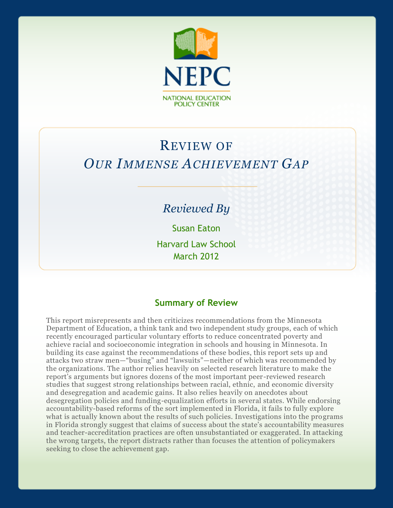

# REVIEW OF *OUR IMMENSE ACHIEVEMENT GAP*

# *Reviewed By*

Susan Eaton

Harvard Law School March 2012

#### **Summary of Review**

This report misrepresents and then criticizes recommendations from the Minnesota Department of Education, a think tank and two independent study groups, each of which recently encouraged particular voluntary efforts to reduce concentrated poverty and achieve racial and socioeconomic integration in schools and housing in Minnesota. In building its case against the recommendations of these bodies, this report sets up and attacks two straw men—"busing" and "lawsuits"—neither of which was recommended by the organizations. The author relies heavily on selected research literature to make the report's arguments but ignores dozens of the most important peer-reviewed research studies that suggest strong relationships between racial, ethnic, and economic diversity and desegregation and academic gains. It also relies heavily on anecdotes about desegregation policies and funding-equalization efforts in several states. While endorsing accountability-based reforms of the sort implemented in Florida, it fails to fully explore what is actually known about the results of such policies. Investigations into the programs in Florida strongly suggest that claims of success about the state's accountability measures and teacher-accreditation practices are often unsubstantiated or exaggerated. In attacking the wrong targets, the report distracts rather than focuses the attention of policymakers seeking to close the achievement gap.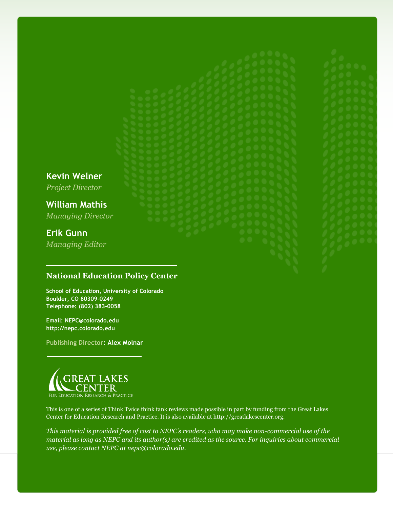**Kevin Welner**

*Project Director*

**William Mathis** *Managing Director*

# **Erik Gunn**

*Managing Editor*

#### **National Education Policy Center**

**School of Education, University of Colorado Boulder, CO 80309-0249 Telephone: (802) 383-0058**

**Email: NEPC@colorado.edu http://nepc.colorado.edu**

**Publishing Director: Alex Molnar**



This is one of a series of Think Twice think tank reviews made possible in part by funding from the Great Lakes Center for Education Research and Practice. It is also available at http://greatlakescenter.org.

*This material is provided free of cost to NEPC's readers, who may make non-commercial use of the material as long as NEPC and its author(s) are credited as the source. For inquiries about commercial use, please contact NEPC at nepc@colorado.edu.*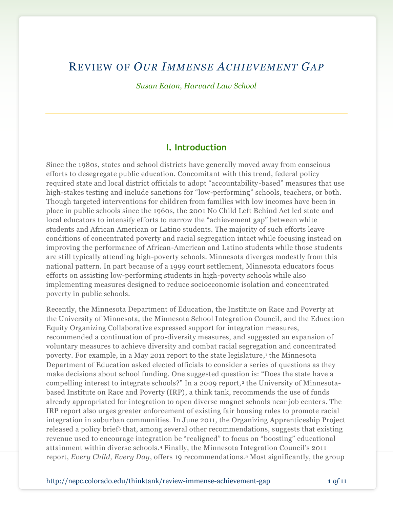# REVIEW OF *OUR IMMENSE ACHIEVEMENT GAP*

*Susan Eaton, Harvard Law School*

#### **I. Introduction**

Since the 1980s, states and school districts have generally moved away from conscious efforts to desegregate public education. Concomitant with this trend, federal policy required state and local district officials to adopt "accountability-based" measures that use high-stakes testing and include sanctions for "low-performing" schools, teachers, or both. Though targeted interventions for children from families with low incomes have been in place in public schools since the 1960s, the 2001 No Child Left Behind Act led state and local educators to intensify efforts to narrow the "achievement gap" between white students and African American or Latino students. The majority of such efforts leave conditions of concentrated poverty and racial segregation intact while focusing instead on improving the performance of African-American and Latino students while those students are still typically attending high-poverty schools. Minnesota diverges modestly from this national pattern. In part because of a 1999 court settlement, Minnesota educators focus efforts on assisting low-performing students in high-poverty schools while also implementing measures designed to reduce socioeconomic isolation and concentrated poverty in public schools.

Recently, the Minnesota Department of Education, the Institute on Race and Poverty at the University of Minnesota, the Minnesota School Integration Council, and the Education Equity Organizing Collaborative expressed support for integration measures, recommended a continuation of pro-diversity measures, and suggested an expansion of voluntary measures to achieve diversity and combat racial segregation and concentrated poverty. For example, in a May 2011 report to the state legislature, 1 the Minnesota Department of Education asked elected officials to consider a series of questions as they make decisions about school funding. One suggested question is: "Does the state have a compelling interest to integrate schools?" In a 2009 report,<sup>2</sup> the University of Minnesotabased Institute on Race and Poverty (IRP), a think tank, recommends the use of funds already appropriated for integration to open diverse magnet schools near job centers. The IRP report also urges greater enforcement of existing fair housing rules to promote racial integration in suburban communities. In June 2011, the Organizing Apprenticeship Project released a policy brief<sup>3</sup> that, among several other recommendations, suggests that existing revenue used to encourage integration be "realigned" to focus on "boosting" educational attainment within diverse schools.<sup>4</sup> Finally, the Minnesota Integration Council's 2011 report, *Every Child, Every Day*, offers 19 recommendations.<sup>5</sup> Most significantly, the group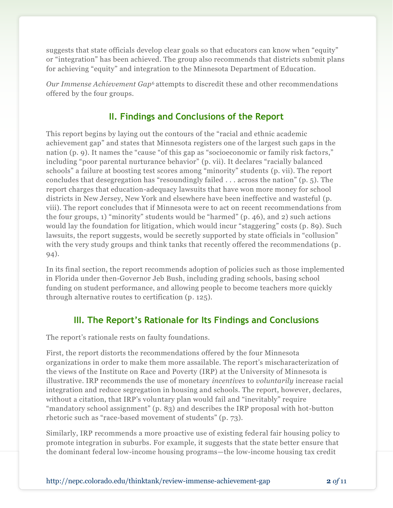suggests that state officials develop clear goals so that educators can know when "equity" or "integration" has been achieved. The group also recommends that districts submit plans for achieving "equity" and integration to the Minnesota Department of Education.

*Our Immense Achievement Gap*<sup>6</sup> attempts to discredit these and other recommendations offered by the four groups.

# **II. Findings and Conclusions of the Report**

This report begins by laying out the contours of the "racial and ethnic academic achievement gap" and states that Minnesota registers one of the largest such gaps in the nation (p. 9). It names the "cause "of this gap as "socioeconomic or family risk factors," including "poor parental nurturance behavior" (p. vii). It declares "racially balanced schools" a failure at boosting test scores among "minority" students (p. vii). The report concludes that desegregation has "resoundingly failed . . . across the nation" (p. 5). The report charges that education-adequacy lawsuits that have won more money for school districts in New Jersey, New York and elsewhere have been ineffective and wasteful (p. viii). The report concludes that if Minnesota were to act on recent recommendations from the four groups, 1) "minority" students would be "harmed" (p. 46), and 2) such actions would lay the foundation for litigation, which would incur "staggering" costs (p. 89). Such lawsuits, the report suggests, would be secretly supported by state officials in "collusion" with the very study groups and think tanks that recently offered the recommendations (p. 94).

In its final section, the report recommends adoption of policies such as those implemented in Florida under then-Governor Jeb Bush, including grading schools, basing school funding on student performance, and allowing people to become teachers more quickly through alternative routes to certification (p. 125).

# **III. The Report's Rationale for Its Findings and Conclusions**

The report's rationale rests on faulty foundations.

First, the report distorts the recommendations offered by the four Minnesota organizations in order to make them more assailable. The report's mischaracterization of the views of the Institute on Race and Poverty (IRP) at the University of Minnesota is illustrative. IRP recommends the use of monetary *incentives* to *voluntarily* increase racial integration and reduce segregation in housing and schools. The report, however, declares, without a citation, that IRP's voluntary plan would fail and "inevitably" require "mandatory school assignment" (p. 83) and describes the IRP proposal with hot-button rhetoric such as "race-based movement of students" (p. 73).

Similarly, IRP recommends a more proactive use of existing federal fair housing policy to promote integration in suburbs. For example, it suggests that the state better ensure that the dominant federal low-income housing programs—the low-income housing tax credit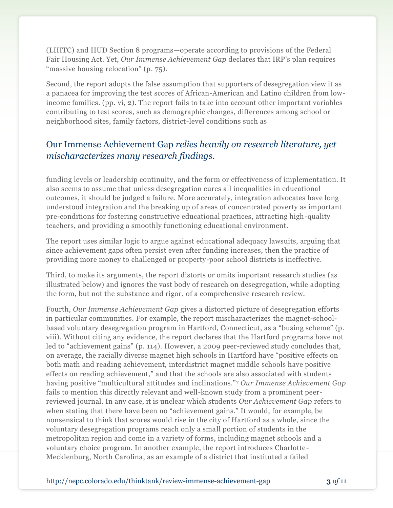(LIHTC) and HUD Section 8 programs—operate according to provisions of the Federal Fair Housing Act. Yet, *Our Immense Achievement Gap* declares that IRP's plan requires "massive housing relocation" (p. 75).

Second, the report adopts the false assumption that supporters of desegregation view it as a panacea for improving the test scores of African-American and Latino children from lowincome families. (pp. vi, 2). The report fails to take into account other important variables contributing to test scores, such as demographic changes, differences among school or neighborhood sites, family factors, district-level conditions such as

# Our Immense Achievement Gap *relies heavily on research literature, yet mischaracterizes many research findings.*

funding levels or leadership continuity, and the form or effectiveness of implementation. It also seems to assume that unless desegregation cures all inequalities in educational outcomes, it should be judged a failure. More accurately, integration advocates have long understood integration and the breaking up of areas of concentrated poverty as important pre-conditions for fostering constructive educational practices, attracting high-quality teachers, and providing a smoothly functioning educational environment.

The report uses similar logic to argue against educational adequacy lawsuits, arguing that since achievement gaps often persist even after funding increases, then the practice of providing more money to challenged or property-poor school districts is ineffective.

Third, to make its arguments, the report distorts or omits important research studies (as illustrated below) and ignores the vast body of research on desegregation, while adopting the form, but not the substance and rigor, of a comprehensive research review.

Fourth, *Our Immense Achievement Gap* gives a distorted picture of desegregation efforts in particular communities. For example, the report mischaracterizes the magnet-schoolbased voluntary desegregation program in Hartford, Connecticut, as a "busing scheme" (p. viii). Without citing any evidence, the report declares that the Hartford programs have not led to "achievement gains" (p. 114). However, a 2009 peer-reviewed study concludes that, on average, the racially diverse magnet high schools in Hartford have "positive effects on both math and reading achievement, interdistrict magnet middle schools have positive effects on reading achievement," and that the schools are also associated with students having positive "multicultural attitudes and inclinations." <sup>7</sup> *Our Immense Achievement Gap* fails to mention this directly relevant and well-known study from a prominent peerreviewed journal. In any case, it is unclear which students *Our Achievement Gap* refers to when stating that there have been no "achievement gains." It would, for example, be nonsensical to think that scores would rise in the city of Hartford as a whole, since the voluntary desegregation programs reach only a small portion of students in the metropolitan region and come in a variety of forms, including magnet schools and a voluntary choice program. In another example, the report introduces Charlotte-Mecklenburg, North Carolina, as an example of a district that instituted a failed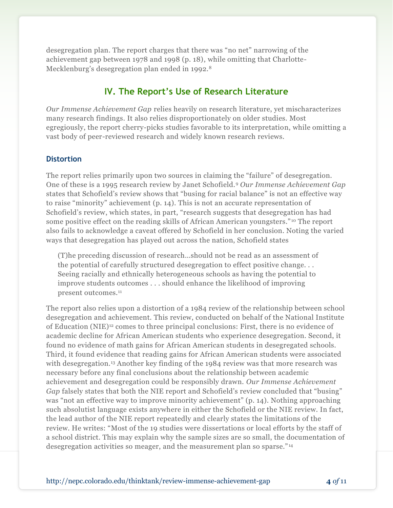desegregation plan. The report charges that there was "no net" narrowing of the achievement gap between 1978 and 1998 (p. 18), while omitting that Charlotte-Mecklenburg's desegregation plan ended in 1992.<sup>8</sup>

### **IV. The Report's Use of Research Literature**

*Our Immense Achievement Gap* relies heavily on research literature, yet mischaracterizes many research findings. It also relies disproportionately on older studies. Most egregiously, the report cherry-picks studies favorable to its interpretation, while omitting a vast body of peer-reviewed research and widely known research reviews.

#### **Distortion**

The report relies primarily upon two sources in claiming the "failure" of desegregation. One of these is a 1995 research review by Janet Schofield.<sup>9</sup> *Our Immense Achievement Gap* states that Schofield's review shows that "busing for racial balance" is not an effective way to raise "minority" achievement (p. 14). This is not an accurate representation of Schofield's review, which states, in part, "research suggests that desegregation has had some positive effect on the reading skills of African American youngsters." <sup>10</sup> The report also fails to acknowledge a caveat offered by Schofield in her conclusion. Noting the varied ways that desegregation has played out across the nation, Schofield states

(T)he preceding discussion of research…should not be read as an assessment of the potential of carefully structured desegregation to effect positive change. . . Seeing racially and ethnically heterogeneous schools as having the potential to improve students outcomes . . . should enhance the likelihood of improving present outcomes.<sup>11</sup>

The report also relies upon a distortion of a 1984 review of the relationship between school desegregation and achievement. This review, conducted on behalf of the National Institute of Education (NIE)<sup>12</sup> comes to three principal conclusions: First, there is no evidence of academic decline for African American students who experience desegregation. Second, it found no evidence of math gains for African American students in desegregated schools. Third, it found evidence that reading gains for African American students were associated with desegregation.<sup>13</sup> Another key finding of the 1984 review was that more research was necessary before any final conclusions about the relationship between academic achievement and desegregation could be responsibly drawn. *Our Immense Achievement Gap* falsely states that both the NIE report and Schofield's review concluded that "busing" was "not an effective way to improve minority achievement" (p. 14). Nothing approaching such absolutist language exists anywhere in either the Schofield or the NIE review. In fact, the lead author of the NIE report repeatedly and clearly states the limitations of the review. He writes: "Most of the 19 studies were dissertations or local efforts by the staff of a school district. This may explain why the sample sizes are so small, the documentation of desegregation activities so meager, and the measurement plan so sparse." <sup>14</sup>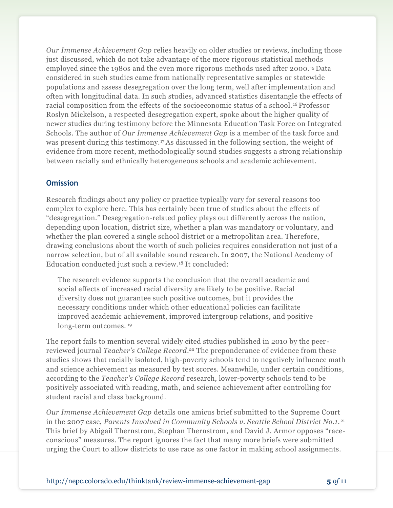*Our Immense Achievement Gap* relies heavily on older studies or reviews, including those just discussed, which do not take advantage of the more rigorous statistical methods employed since the 1980s and the even more rigorous methods used after 2000. <sup>15</sup> Data considered in such studies came from nationally representative samples or statewide populations and assess desegregation over the long term, well after implementation and often with longitudinal data. In such studies, advanced statistics disentangle the effects of racial composition from the effects of the socioeconomic status of a school. <sup>16</sup> Professor Roslyn Mickelson, a respected desegregation expert, spoke about the higher quality of newer studies during testimony before the Minnesota Education Task Force on Integrated Schools. The author of *Our Immense Achievement Gap* is a member of the task force and was present during this testimony.<sup>17</sup> As discussed in the following section, the weight of evidence from more recent, methodologically sound studies suggests a strong relationship between racially and ethnically heterogeneous schools and academic achievement.

#### **Omission**

Research findings about any policy or practice typically vary for several reasons too complex to explore here. This has certainly been true of studies about the effects of "desegregation." Desegregation-related policy plays out differently across the nation, depending upon location, district size, whether a plan was mandatory or voluntary, and whether the plan covered a single school district or a metropolitan area. Therefore, drawing conclusions about the worth of such policies requires consideration not just of a narrow selection, but of all available sound research. In 2007, the National Academy of Education conducted just such a review.<sup>18</sup> It concluded:

The research evidence supports the conclusion that the overall academic and social effects of increased racial diversity are likely to be positive. Racial diversity does not guarantee such positive outcomes, but it provides the necessary conditions under which other educational policies can facilitate improved academic achievement, improved intergroup relations, and positive long-term outcomes. <sup>19</sup>

The report fails to mention several widely cited studies published in 2010 by the peer reviewed journal *Teacher's College Record*. <sup>20</sup> The preponderance of evidence from these studies shows that racially isolated, high-poverty schools tend to negatively influence math and science achievement as measured by test scores. Meanwhile, under certain conditions, according to the *Teacher's College Record* research, lower-poverty schools tend to be positively associated with reading, math, and science achievement after controlling for student racial and class background.

*Our Immense Achievement Gap* details one amicus brief submitted to the Supreme Court in the 2007 case, *Parents Involved in Community Schools v. Seattle School District No.1.* <sup>21</sup> This brief by Abigail Thernstrom, Stephan Thernstrom, and David J. Armor opposes "raceconscious" measures. The report ignores the fact that many more briefs were submitted urging the Court to allow districts to use race as one factor in making school assignments.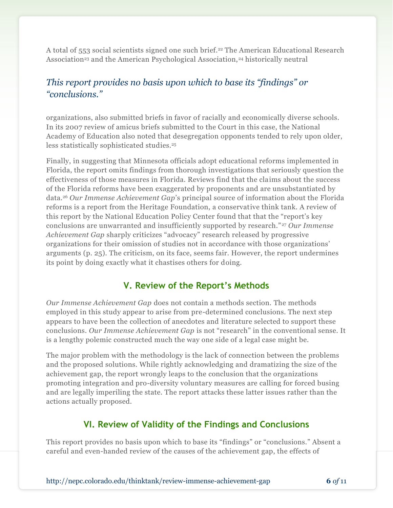A total of 553 social scientists signed one such brief.<sup>22</sup> The American Educational Research Association<sup>23</sup> and the American Psychological Association,<sup>24</sup> historically neutral

# *This report provides no basis upon which to base its "findings" or "conclusions."*

organizations, also submitted briefs in favor of racially and economically diverse schools. In its 2007 review of amicus briefs submitted to the Court in this case, the National Academy of Education also noted that desegregation opponents tended to rely upon older, less statistically sophisticated studies.<sup>25</sup>

Finally, in suggesting that Minnesota officials adopt educational reforms implemented in Florida, the report omits findings from thorough investigations that seriously question the effectiveness of those measures in Florida. Reviews find that the claims about the success of the Florida reforms have been exaggerated by proponents and are unsubstantiated by data.<sup>26</sup> *Our Immense Achievement Gap*'s principal source of information about the Florida reforms is a report from the Heritage Foundation, a conservative think tank. A review of this report by the National Education Policy Center found that that the "report's key conclusions are unwarranted and insufficiently supported by research." <sup>27</sup> *Our Immense Achievement Gap* sharply criticizes "advocacy" research released by progressive organizations for their omission of studies not in accordance with those organizations' arguments (p. 25). The criticism, on its face, seems fair. However, the report undermines its point by doing exactly what it chastises others for doing.

# **V. Review of the Report's Methods**

*Our Immense Achievement Gap* does not contain a methods section. The methods employed in this study appear to arise from pre-determined conclusions. The next step appears to have been the collection of anecdotes and literature selected to support these conclusions. *Our Immense Achievement Gap* is not "research" in the conventional sense. It is a lengthy polemic constructed much the way one side of a legal case might be.

The major problem with the methodology is the lack of connection between the problems and the proposed solutions. While rightly acknowledging and dramatizing the size of the achievement gap, the report wrongly leaps to the conclusion that the organizations promoting integration and pro-diversity voluntary measures are calling for forced busing and are legally imperiling the state. The report attacks these latter issues rather than the actions actually proposed.

# **VI. Review of Validity of the Findings and Conclusions**

This report provides no basis upon which to base its "findings" or "conclusions." Absent a careful and even-handed review of the causes of the achievement gap, the effects of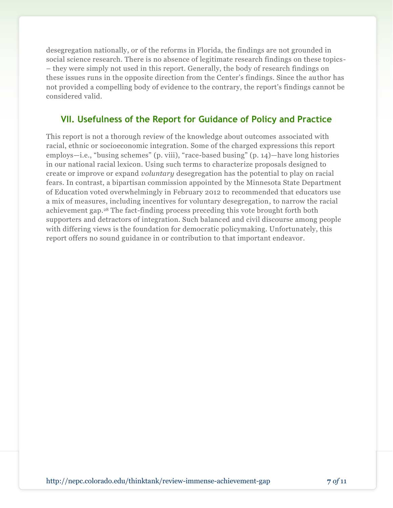desegregation nationally, or of the reforms in Florida, the findings are not grounded in social science research. There is no absence of legitimate research findings on these topics- – they were simply not used in this report. Generally, the body of research findings on these issues runs in the opposite direction from the Center's findings. Since the author has not provided a compelling body of evidence to the contrary, the report's findings cannot be considered valid.

# **VII. Usefulness of the Report for Guidance of Policy and Practice**

This report is not a thorough review of the knowledge about outcomes associated with racial, ethnic or socioeconomic integration. Some of the charged expressions this report employs—i.e., "busing schemes" (p. viii), "race-based busing" (p. 14)—have long histories in our national racial lexicon. Using such terms to characterize proposals designed to create or improve or expand *voluntary* desegregation has the potential to play on racial fears. In contrast, a bipartisan commission appointed by the Minnesota State Department of Education voted overwhelmingly in February 2012 to recommended that educators use a mix of measures, including incentives for voluntary desegregation, to narrow the racial achievement gap.<sup>28</sup> The fact-finding process preceding this vote brought forth both supporters and detractors of integration. Such balanced and civil discourse among people with differing views is the foundation for democratic policymaking. Unfortunately, this report offers no sound guidance in or contribution to that important endeavor.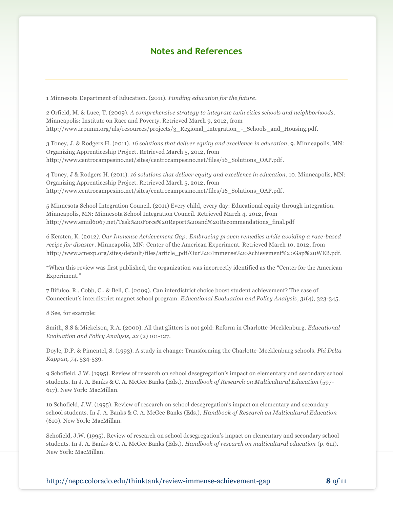#### **Notes and References**

1 Minnesota Department of Education. (2011). *Funding education for the future*.

2 Orfield, M. & Luce, T. (2009). *A comprehensive strategy to integrate twin cities schools and neighborhoods*. Minneapolis: Institute on Race and Poverty. Retrieved March 9, 2012, from http://www.irpumn.org/uls/resources/projects/3\_Regional\_Integration\_-\_Schools\_and\_Housing.pdf.

3 Toney, J. & Rodgers H. (2011). *16 solutions that deliver equity and excellence in education*, 9. Minneapolis, MN: Organizing Apprenticeship Project. Retrieved March 5, 2012, from http://www.centrocampesino.net/sites/centrocampesino.net/files/16\_Solutions\_OAP.pdf.

4 Toney, J & Rodgers H. (2011). *16 solutions that deliver equity and excellence in education*, 10. Minneapolis, MN: Organizing Apprenticeship Project. Retrieved March 5, 2012, from http://www.centrocampesino.net/sites/centrocampesino.net/files/16\_Solutions\_OAP.pdf.

5 Minnesota School Integration Council. (2011) Every child, every day: Educational equity through integration. Minneapolis, MN: Minnesota School Integration Council. Retrieved March 4, 2012, from http://www.emid6067.net/Task%20Force%20Report%20and%20Recommendations\_final.pdf

6 Kersten, K. (2012*). Our Immense Achievement Gap: Embracing proven remedies while avoiding a race-based recipe for disaster*. Minneapolis, MN: Center of the American Experiment. Retrieved March 10, 2012, from http://www.amexp.org/sites/default/files/article\_pdf/Our%20Immense%20Achievement%20Gap%20WEB.pdf.

\*When this review was first published, the organization was incorrectly identified as the "Center for the American Experiment."

7 Bifulco, R., Cobb, C., & Bell, C. (2009). Can interdistrict choice boost student achievement? The case of Connecticut's interdistrict magnet school program. *Educational Evaluation and Policy Analysis*, *31*(4), 323-345.

8 See, for example:

Smith, S.S & Mickelson, R.A. (2000). All that glitters is not gold: Reform in Charlotte-Mecklenburg. *Educational Evaluation and Policy Analysis, 22* (2) 101-127.

Doyle, D.P. & Pimentel, S. (1993). A study in change: Transforming the Charlotte-Mecklenburg schools. *Phi Delta Kappan, 74*, 534-539.

9 Schofield, J.W. (1995). Review of research on school desegregation's impact on elementary and secondary school students. In J. A. Banks & C. A. McGee Banks (Eds.), *Handbook of Research on Multicultural Education* (597- 617). New York: MacMillan.

10 Schofield, J.W. (1995). Review of research on school desegregation's impact on elementary and secondary school students. In J. A. Banks & C. A. McGee Banks (Eds.), *Handbook of Research on Multicultural Education*  (610). New York: MacMillan.

Schofield, J.W. (1995). Review of research on school desegregation's impact on elementary and secondary school students. In J. A. Banks & C. A. McGee Banks (Eds.), *Handbook of research on multicultural education* (p. 611). New York: MacMillan.

http://nepc.colorado.edu/thinktank/review-immense-achievement-gap **8** *of* 11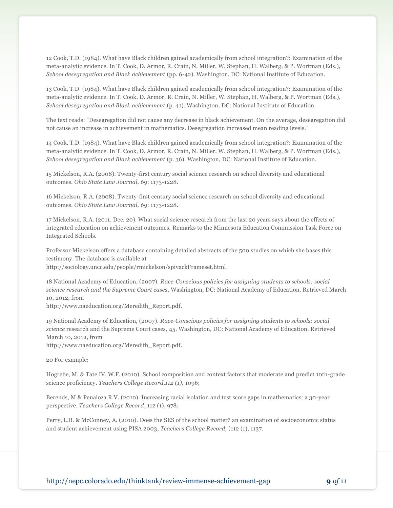12 Cook, T.D. (1984). What have Black children gained academically from school integration?: Examination of the meta-analytic evidence. In T. Cook, D. Armor, R. Crain, N. Miller, W. Stephan, H. Walberg, & P. Wortman (Eds.), *School desegregation and Black achievement* (pp. 6-42). Washington, DC: National Institute of Education.

13 Cook, T.D. (1984). What have Black children gained academically from school integration?: Examination of the meta-analytic evidence. In T. Cook, D. Armor, R. Crain, N. Miller, W. Stephan, H. Walberg, & P. Wortman (Eds.), *School desegregation and Black achievement* (p. 41). Washington, DC: National Institute of Education.

The text reads: "Desegregation did not cause any decrease in black achievement. On the average, desegregation did not cause an increase in achievement in mathematics. Desegregation increased mean reading levels."

14 Cook, T.D. (1984). What have Black children gained academically from school integration?: Examination of the meta-analytic evidence. In T. Cook, D. Armor, R. Crain, N. Miller, W. Stephan, H. Walberg, & P. Wortman (Eds.), *School desegregation and Black achievement* (p. 36). Washington, DC: National Institute of Education.

15 Mickelson, R.A. (2008). Twenty-first century social science research on school diversity and educational outcomes. *Ohio State Law Journal, 69*: 1173-1228.

16 Mickelson, R.A. (2008). Twenty-first century social science research on school diversity and educational outcomes. *Ohio State Law Journal, 69*: 1173-1228.

17 Mickelson, R.A. (2011, Dec. 20). What social science research from the last 20 years says about the effects of integrated education on achievement outcomes. Remarks to the Minnesota Education Commission Task Force on Integrated Schools.

Professor Mickelson offers a database containing detailed abstracts of the 500 studies on which she bases this testimony. The database is available at

http://sociology.uncc.edu/people/rmickelson/spivackFrameset.html.

18 National Academy of Education, (2007). *Race-Conscious policies for assigning students to schools: social science research and the Supreme Court cases*. Washington, DC: National Academy of Education. Retrieved March 10, 2012, from

http://www.naeducation.org/Meredith\_Report.pdf.

19 National Academy of Education, (2007). *Race-Conscious policies for assigning students to schools: social science* research and the Supreme Court cases, 45. Washington, DC: National Academy of Education. Retrieved March 10, 2012, from

http://www.naeducation.org/Meredith\_Report.pdf.

20 For example:

Hogrebe, M. & Tate IV, W.F. (2010). School composition and context factors that moderate and predict 10th-grade science proficiency. *Teachers College Record,112 (1),* 1096;

Berends, M & Penaloza R.V. (2010). Increasing racial isolation and test score gaps in mathematics: a 30-year perspective. *Teachers College Record*, 112 (1), 978;

Perry, L.B. & McConney, A. (2010). Does the SES of the school matter? an examination of socioeconomic status and student achievement using PISA 2003, *Teachers College Record,* (112 (1), 1137.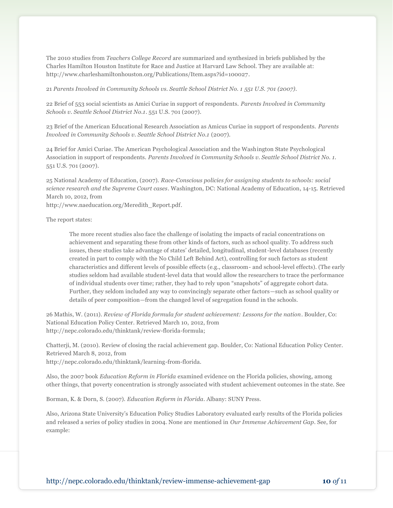The 2010 studies from *Teachers College Record* are summarized and synthesized in briefs published by the Charles Hamilton Houston Institute for Race and Justice at Harvard Law School. They are available at: http://www.charleshamiltonhouston.org/Publications/Item.aspx?id=100027.

21 *Parents Involved in Community Schools vs. Seattle School District No. 1 551 U.S. 701 (2007).*

22 Brief of 553 social scientists as Amici Curiae in support of respondents. *Parents Involved in Community Schools v. Seattle School District No.1*. 551 U.S. 701 (2007).

23 Brief of the American Educational Research Association as Amicus Curiae in support of respondents. *Parents Involved in Community Schools v. Seattle School District No.1* (2007).

24 Brief for Amici Curiae. The American Psychological Association and the Washington State Psychological Association in support of respondents. *Parents Involved in Community Schools v. Seattle School District No. 1.* 551 U.S. 701 (2007).

25 National Academy of Education, (2007). *Race-Conscious policies for assigning students to schools: social science research and the Supreme Court cases*. Washington, DC: National Academy of Education, 14-15. Retrieved March 10, 2012, from

http://www.naeducation.org/Meredith\_Report.pdf.

The report states:

The more recent studies also face the challenge of isolating the impacts of racial concentrations on achievement and separating these from other kinds of factors, such as school quality. To address such issues, these studies take advantage of states' detailed, longitudinal, student-level databases (recently created in part to comply with the No Child Left Behind Act), controlling for such factors as student characteristics and different levels of possible effects (e.g., classroom- and school-level effects). (The early studies seldom had available student-level data that would allow the researchers to trace the performance of individual students over time; rather, they had to rely upon "snapshots" of aggregate cohort data. Further, they seldom included any way to convincingly separate other factors—such as school quality or details of peer composition—from the changed level of segregation found in the schools.

26 Mathis, W. (2011). *Review of Florida formula for student achievement: Lessons for the nation*. Boulder, Co: National Education Policy Center. Retrieved March 10, 2012, from http://nepc.colorado.edu/thinktank/review-florida-formula;

Chatterji, M. (2010). Review of closing the racial achievement gap. Boulder, Co: National Education Policy Center. Retrieved March 8, 2012, from

http://nepc.colorado.edu/thinktank/learning-from-florida.

Also, the 2007 book *Education Reform in Florida* examined evidence on the Florida policies, showing, among other things, that poverty concentration is strongly associated with student achievement outcomes in the state. See

Borman, K. & Dorn, S. (2007). *Education Reform in Florida*. Albany: SUNY Press.

Also, Arizona State University's Education Policy Studies Laboratory evaluated early results of the Florida policies and released a series of policy studies in 2004. None are mentioned in *Our Immense Achievement Gap*. See, for example: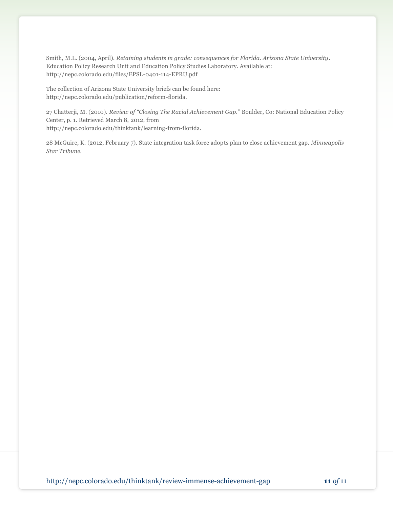Smith, M.L. (2004, April). *Retaining students in grade: consequences for Florida. Arizona State University*. Education Policy Research Unit and Education Policy Studies Laboratory. Available at: http://nepc.colorado.edu/files/EPSL-0401-114-EPRU.pdf

The collection of Arizona State University briefs can be found here: http://nepc.colorado.edu/publication/reform-florida.

27 Chatterji, M. (2010). *Review of "Closing The Racial Achievement Gap."* Boulder, Co: National Education Policy Center, p. 1. Retrieved March 8, 2012, from http://nepc.colorado.edu/thinktank/learning-from-florida.

28 McGuire, K. (2012, February 7). State integration task force adopts plan to close achievement gap. *Minneapolis Star Tribune.*